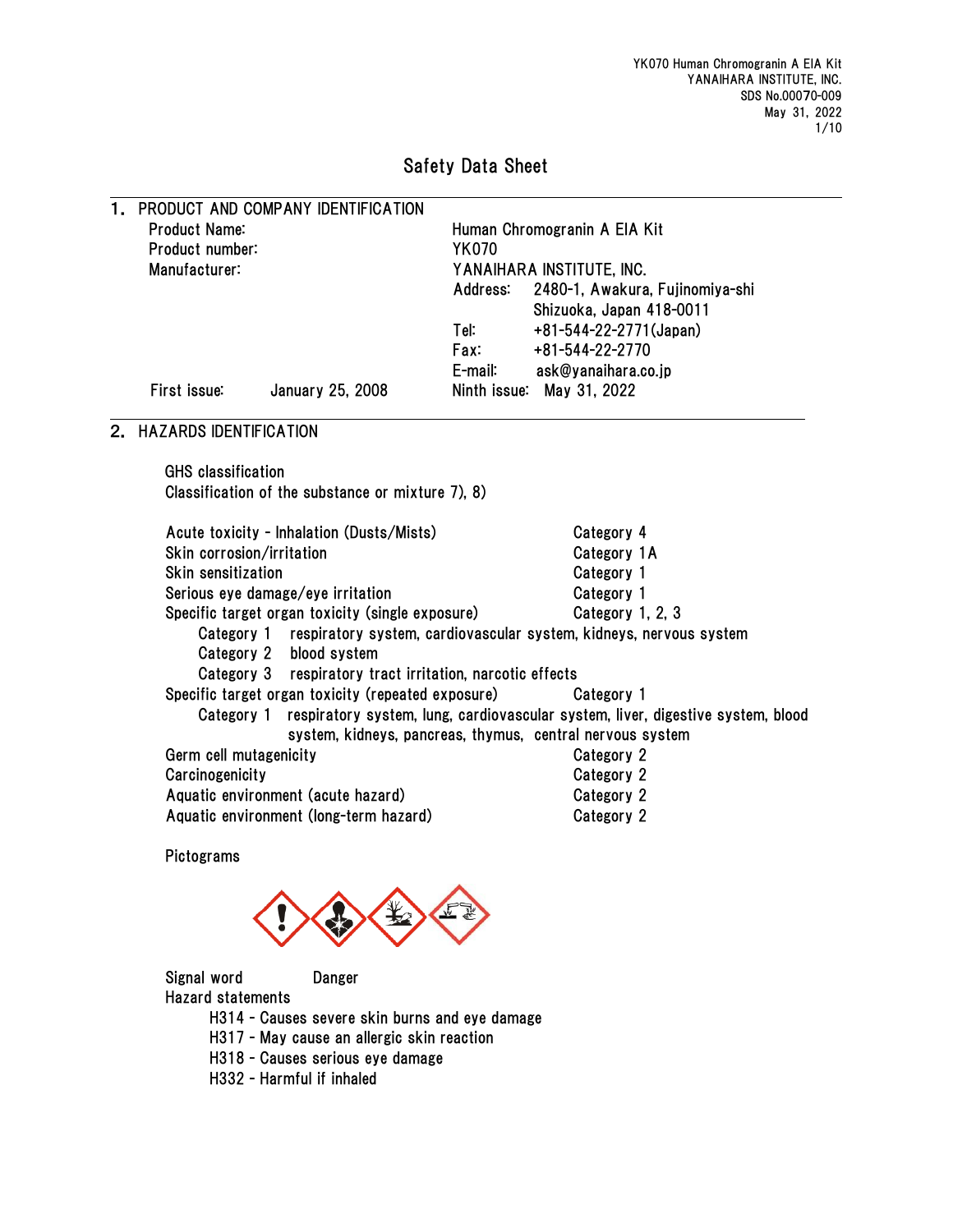# Safety Data Sheet

| Human Chromogranin A EIA Kit                                                               |  |  |  |  |
|--------------------------------------------------------------------------------------------|--|--|--|--|
|                                                                                            |  |  |  |  |
|                                                                                            |  |  |  |  |
| 2480-1, Awakura, Fujinomiya-shi                                                            |  |  |  |  |
|                                                                                            |  |  |  |  |
|                                                                                            |  |  |  |  |
|                                                                                            |  |  |  |  |
|                                                                                            |  |  |  |  |
|                                                                                            |  |  |  |  |
|                                                                                            |  |  |  |  |
|                                                                                            |  |  |  |  |
|                                                                                            |  |  |  |  |
|                                                                                            |  |  |  |  |
|                                                                                            |  |  |  |  |
|                                                                                            |  |  |  |  |
|                                                                                            |  |  |  |  |
|                                                                                            |  |  |  |  |
| Category 1 respiratory system, cardiovascular system, kidneys, nervous system              |  |  |  |  |
|                                                                                            |  |  |  |  |
|                                                                                            |  |  |  |  |
|                                                                                            |  |  |  |  |
| Category 1 respiratory system, lung, cardiovascular system, liver, digestive system, blood |  |  |  |  |
|                                                                                            |  |  |  |  |
|                                                                                            |  |  |  |  |
|                                                                                            |  |  |  |  |
|                                                                                            |  |  |  |  |
|                                                                                            |  |  |  |  |
|                                                                                            |  |  |  |  |
|                                                                                            |  |  |  |  |
|                                                                                            |  |  |  |  |

Signal word Danger

Hazard statements

H314 - Causes severe skin burns and eye damage

- H317 May cause an allergic skin reaction
- H318 Causes serious eye damage
- H332 Harmful if inhaled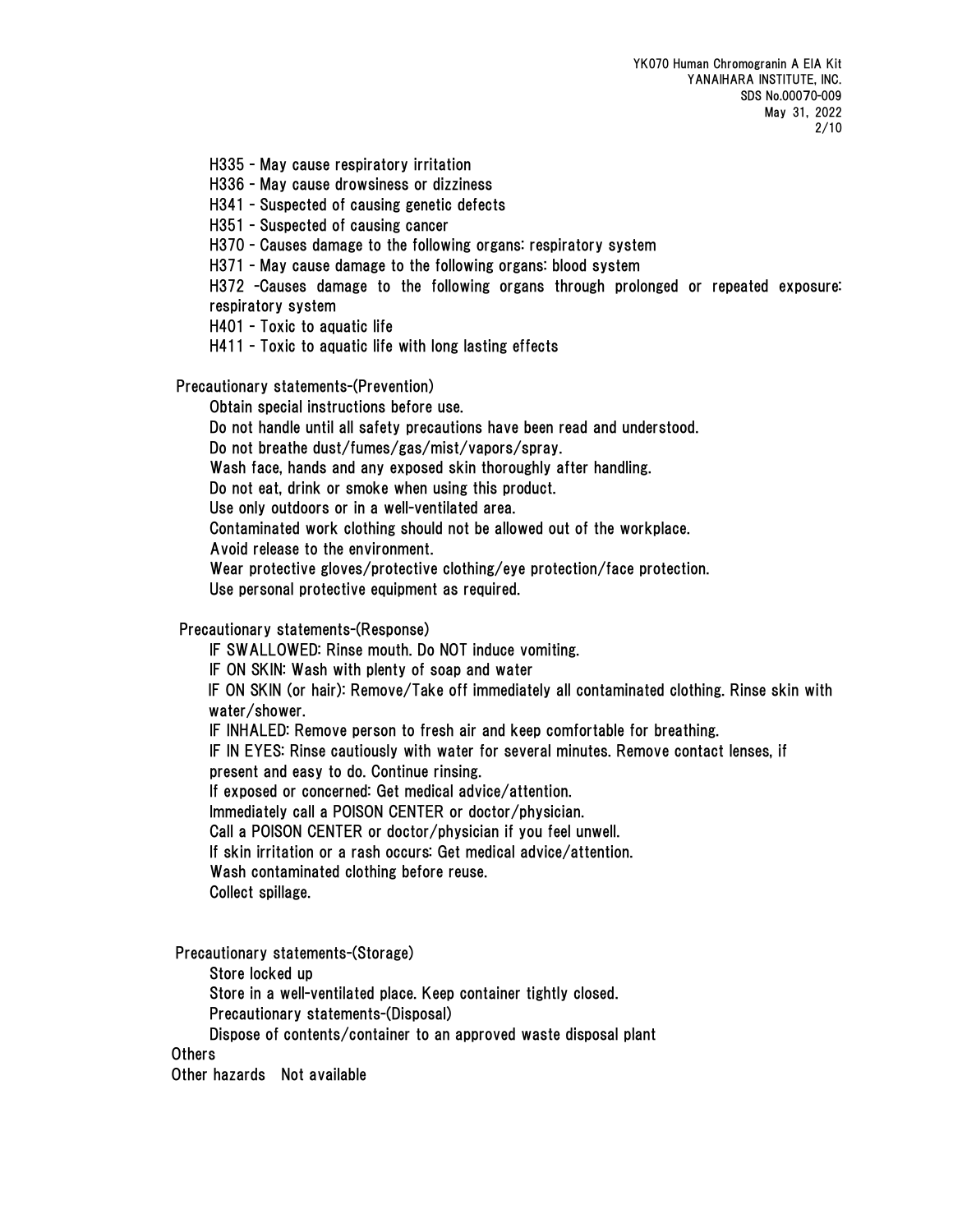H335 - May cause respiratory irritation

H336 - May cause drowsiness or dizziness

H341 - Suspected of causing genetic defects

H351 - Suspected of causing cancer

H370 - Causes damage to the following organs: respiratory system

H371 - May cause damage to the following organs: blood system

H372 -Causes damage to the following organs through prolonged or repeated exposure: respiratory system

H401 - Toxic to aquatic life

H411 - Toxic to aquatic life with long lasting effects

Precautionary statements-(Prevention)

Obtain special instructions before use.

Do not handle until all safety precautions have been read and understood.

Do not breathe dust/fumes/gas/mist/vapors/spray.

Wash face, hands and any exposed skin thoroughly after handling.

Do not eat, drink or smoke when using this product.

Use only outdoors or in a well-ventilated area.

Contaminated work clothing should not be allowed out of the workplace.

Avoid release to the environment.

Wear protective gloves/protective clothing/eye protection/face protection.

Use personal protective equipment as required.

Precautionary statements-(Response)

IF SWALLOWED: Rinse mouth. Do NOT induce vomiting.

IF ON SKIN: Wash with plenty of soap and water

IF ON SKIN (or hair): Remove/Take off immediately all contaminated clothing. Rinse skin with water/shower.

IF INHALED: Remove person to fresh air and keep comfortable for breathing.

IF IN EYES: Rinse cautiously with water for several minutes. Remove contact lenses, if

present and easy to do. Continue rinsing.

If exposed or concerned: Get medical advice/attention.

Immediately call a POISON CENTER or doctor/physician.

Call a POISON CENTER or doctor/physician if you feel unwell.

If skin irritation or a rash occurs: Get medical advice/attention.

Wash contaminated clothing before reuse.

Collect spillage.

Precautionary statements-(Storage)

Store locked up

Store in a well-ventilated place. Keep container tightly closed.

Precautionary statements-(Disposal)

Dispose of contents/container to an approved waste disposal plant

**Others** 

Other hazards Not available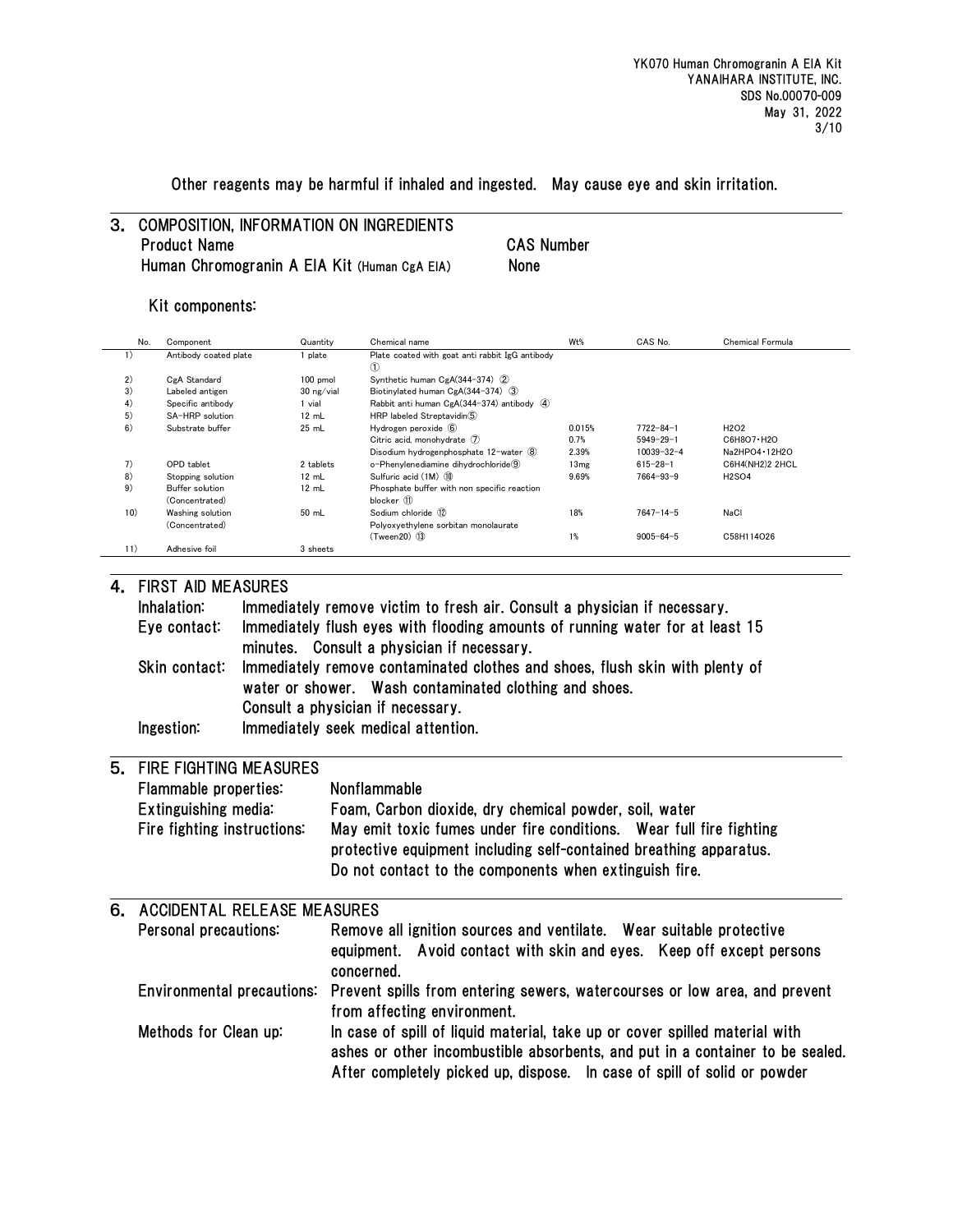Other reagents may be harmful if inhaled and ingested. May cause eye and skin irritation.

# 3. COMPOSITION, INFORMATION ON INGREDIENTS Product Name CAS Number Human Chromogranin A EIA Kit (Human CgA EIA) None

#### Kit components:

| No. | Component             | Quantity   | Chemical name                                        | W <sub>t</sub> % | CAS No.          | Chemical Formula              |
|-----|-----------------------|------------|------------------------------------------------------|------------------|------------------|-------------------------------|
| 1)  | Antibody coated plate | 1 plate    | Plate coated with goat anti rabbit IgG antibody<br>➀ |                  |                  |                               |
| 2)  | CgA Standard          | 100 pmol   | Synthetic human CgA(344-374) (2)                     |                  |                  |                               |
| 3)  | Labeled antigen       | 30 ng/vial | Biotinvlated human CgA(344-374) (3)                  |                  |                  |                               |
| 4)  | Specific antibody     | 1 vial     | Rabbit anti human CgA(344-374) antibody 4            |                  |                  |                               |
| 5)  | SA-HRP solution       | 12 mL      | HRP labeled Streptavidin(5)                          |                  |                  |                               |
| 6)  | Substrate buffer      | 25 mL      | Hydrogen peroxide 6                                  | 0.015%           | $7722 - 84 - 1$  | H <sub>2</sub> O <sub>2</sub> |
|     |                       |            | Citric acid. monohydrate (7)                         | 0.7%             | $5949 - 29 - 1$  | C6H8O7 H2O                    |
|     |                       |            | Disodium hydrogenphosphate 12-water (8)              | 2.39%            | $10039 - 32 - 4$ | Na2HPO4 · 12H2O               |
| 7)  | OPD tablet            | 2 tablets  | o-Phenvlenediamine dihydrochloride (9)               | 13mg             | $615 - 28 - 1$   | C6H4(NH2)2 2HCL               |
| 8)  | Stopping solution     | 12 mL      | Sulfuric acid (1M) (10)                              | 9.69%            | $7664 - 93 - 9$  | <b>H2SO4</b>                  |
| 9)  | Buffer solution       | 12 mL      | Phosphate buffer with non specific reaction          |                  |                  |                               |
|     | (Concentrated)        |            | blocker (11)                                         |                  |                  |                               |
| 10) | Washing solution      | 50 mL      | Sodium chloride (12)                                 | 18%              | $7647 - 14 - 5$  | NaCl                          |
|     | (Concentrated)        |            | Polyoxyethylene sorbitan monolaurate                 |                  |                  |                               |
|     |                       |            | $(Tween 20)$ $(13)$                                  | 1%               | $9005 - 64 - 5$  | C58H114O26                    |
| 11) | Adhesive foil         | 3 sheets   |                                                      |                  |                  |                               |

#### 4. FIRST AID MEASURES

| Inhalation:   | Immediately remove victim to fresh air. Consult a physician if necessary.     |
|---------------|-------------------------------------------------------------------------------|
| Eye contact:  | Immediately flush eyes with flooding amounts of running water for at least 15 |
|               | minutes. Consult a physician if necessary.                                    |
| Skin contact: | Immediately remove contaminated clothes and shoes, flush skin with plenty of  |
|               | water or shower. Wash contaminated clothing and shoes.                        |
|               | Consult a physician if necessary.                                             |
| Ingestion:    | Immediately seek medical attention.                                           |
|               |                                                                               |
|               |                                                                               |

#### 5. FIRE FIGHTING MEASURES Flammable properties: Nonflammable

| i iailiilabio proportico.   | ,,,,,,,,,,,,,,,,,,,,,                                               |
|-----------------------------|---------------------------------------------------------------------|
| Extinguishing media:        | Foam, Carbon dioxide, dry chemical powder, soil, water              |
| Fire fighting instructions: | May emit toxic fumes under fire conditions. Wear full fire fighting |
|                             | protective equipment including self-contained breathing apparatus.  |
|                             | Do not contact to the components when extinguish fire.              |
|                             |                                                                     |

| 6. ACCIDENTAL RELEASE MEASURES |                                                                                                                                                                                                                                          |  |  |  |  |
|--------------------------------|------------------------------------------------------------------------------------------------------------------------------------------------------------------------------------------------------------------------------------------|--|--|--|--|
| Personal precautions:          | Remove all ignition sources and ventilate. Wear suitable protective<br>equipment. Avoid contact with skin and eyes. Keep off except persons<br>concerned.                                                                                |  |  |  |  |
|                                | Environmental precautions: Prevent spills from entering sewers, watercourses or low area, and prevent<br>from affecting environment.                                                                                                     |  |  |  |  |
| Methods for Clean up:          | In case of spill of liquid material, take up or cover spilled material with<br>ashes or other incombustible absorbents, and put in a container to be sealed.<br>After completely picked up, dispose. In case of spill of solid or powder |  |  |  |  |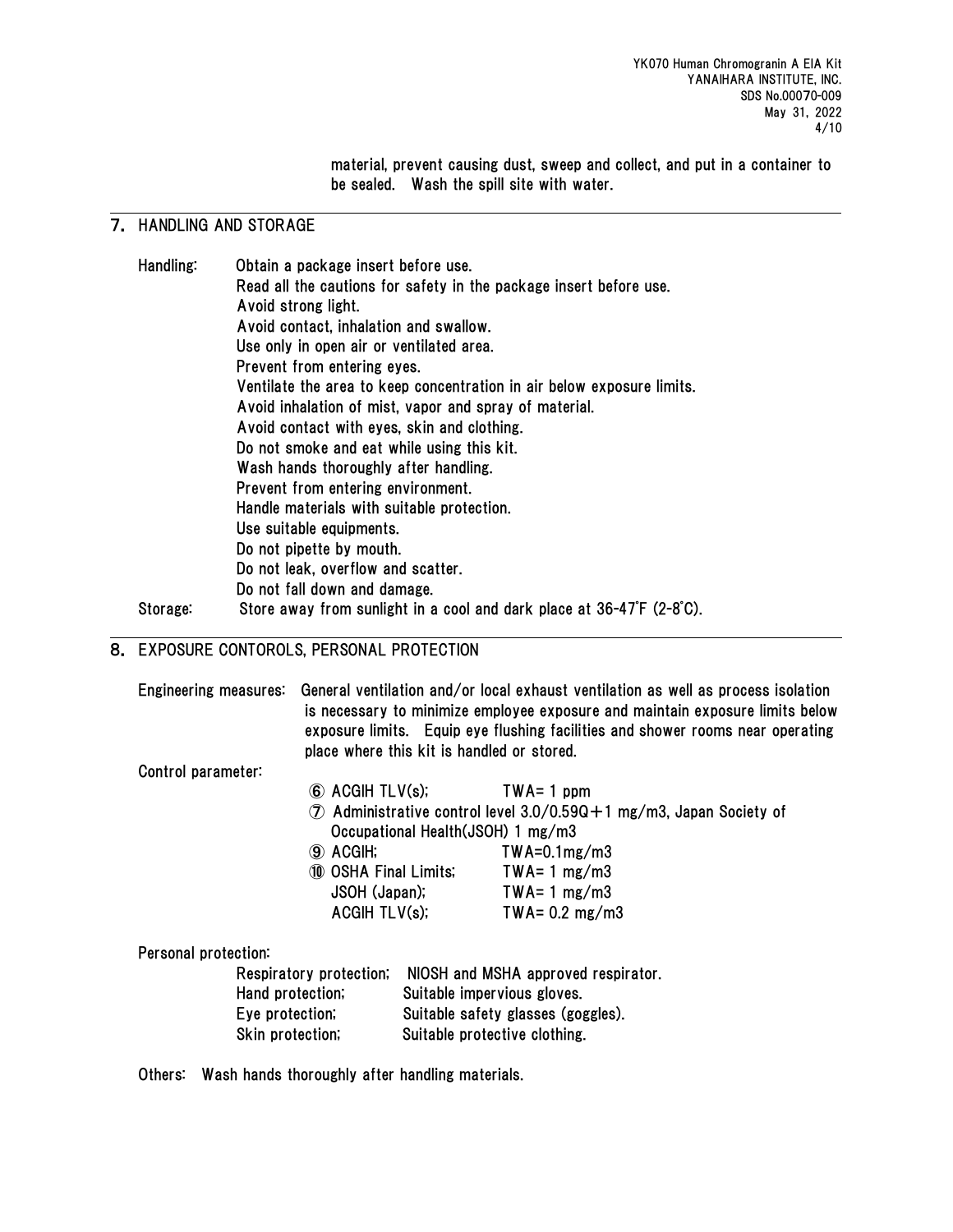material, prevent causing dust, sweep and collect, and put in a container to be sealed. Wash the spill site with water.

# 7. HANDLING AND STORAGE

| Handling: | Obtain a package insert before use.                                    |
|-----------|------------------------------------------------------------------------|
|           | Read all the cautions for safety in the package insert before use.     |
|           | Avoid strong light.                                                    |
|           | Avoid contact, inhalation and swallow.                                 |
|           | Use only in open air or ventilated area.                               |
|           | Prevent from entering eyes.                                            |
|           | Ventilate the area to keep concentration in air below exposure limits. |
|           | Avoid inhalation of mist, vapor and spray of material.                 |
|           | Avoid contact with eyes, skin and clothing.                            |
|           | Do not smoke and eat while using this kit.                             |
|           | Wash hands thoroughly after handling.                                  |
|           | Prevent from entering environment.                                     |
|           | Handle materials with suitable protection.                             |
|           | Use suitable equipments.                                               |
|           | Do not pipette by mouth.                                               |
|           | Do not leak, overflow and scatter.                                     |
|           | Do not fall down and damage.                                           |
| Storage:  | Store away from sunlight in a cool and dark place at 36-47°F (2-8°C).  |
|           |                                                                        |

# 8. EXPOSURE CONTOROLS, PERSONAL PROTECTION

|                      |                       | Engineering measures: General ventilation and/or local exhaust ventilation as well as process isolation<br>is necessary to minimize employee exposure and maintain exposure limits below<br>exposure limits. Equip eye flushing facilities and shower rooms near operating<br>place where this kit is handled or stored. |                                                                                 |  |  |
|----------------------|-----------------------|--------------------------------------------------------------------------------------------------------------------------------------------------------------------------------------------------------------------------------------------------------------------------------------------------------------------------|---------------------------------------------------------------------------------|--|--|
| Control parameter:   |                       |                                                                                                                                                                                                                                                                                                                          |                                                                                 |  |  |
|                      | 6 ACGIH TLV(s);       |                                                                                                                                                                                                                                                                                                                          | $TWA = 1$ ppm                                                                   |  |  |
|                      |                       |                                                                                                                                                                                                                                                                                                                          | $\circled{7}$ Administrative control level 3.0/0.59Q +1 mg/m3, Japan Society of |  |  |
|                      |                       |                                                                                                                                                                                                                                                                                                                          | Occupational Health (JSOH) 1 mg/m3                                              |  |  |
|                      | <b>(9) ACGIH;</b>     |                                                                                                                                                                                                                                                                                                                          | $TWA=0.1mg/m3$                                                                  |  |  |
|                      | 10 OSHA Final Limits; |                                                                                                                                                                                                                                                                                                                          | $TWA = 1 mg/m3$                                                                 |  |  |
|                      | JSOH (Japan);         |                                                                                                                                                                                                                                                                                                                          | $TWA = 1 mg/m3$                                                                 |  |  |
|                      | ACGIH TLV(s);         |                                                                                                                                                                                                                                                                                                                          | TWA= $0.2 \text{ mg/m3}$                                                        |  |  |
| Personal protection: |                       |                                                                                                                                                                                                                                                                                                                          |                                                                                 |  |  |
|                      |                       |                                                                                                                                                                                                                                                                                                                          | Respiratory protection; NIOSH and MSHA approved respirator.                     |  |  |
|                      | Hand protection;      | Suitable impervious gloves.                                                                                                                                                                                                                                                                                              |                                                                                 |  |  |
|                      | Eye protection;       | Suitable safety glasses (goggles).                                                                                                                                                                                                                                                                                       |                                                                                 |  |  |
|                      | Skin protection,      |                                                                                                                                                                                                                                                                                                                          | Suitable protective clothing.                                                   |  |  |
|                      |                       |                                                                                                                                                                                                                                                                                                                          |                                                                                 |  |  |

Others: Wash hands thoroughly after handling materials.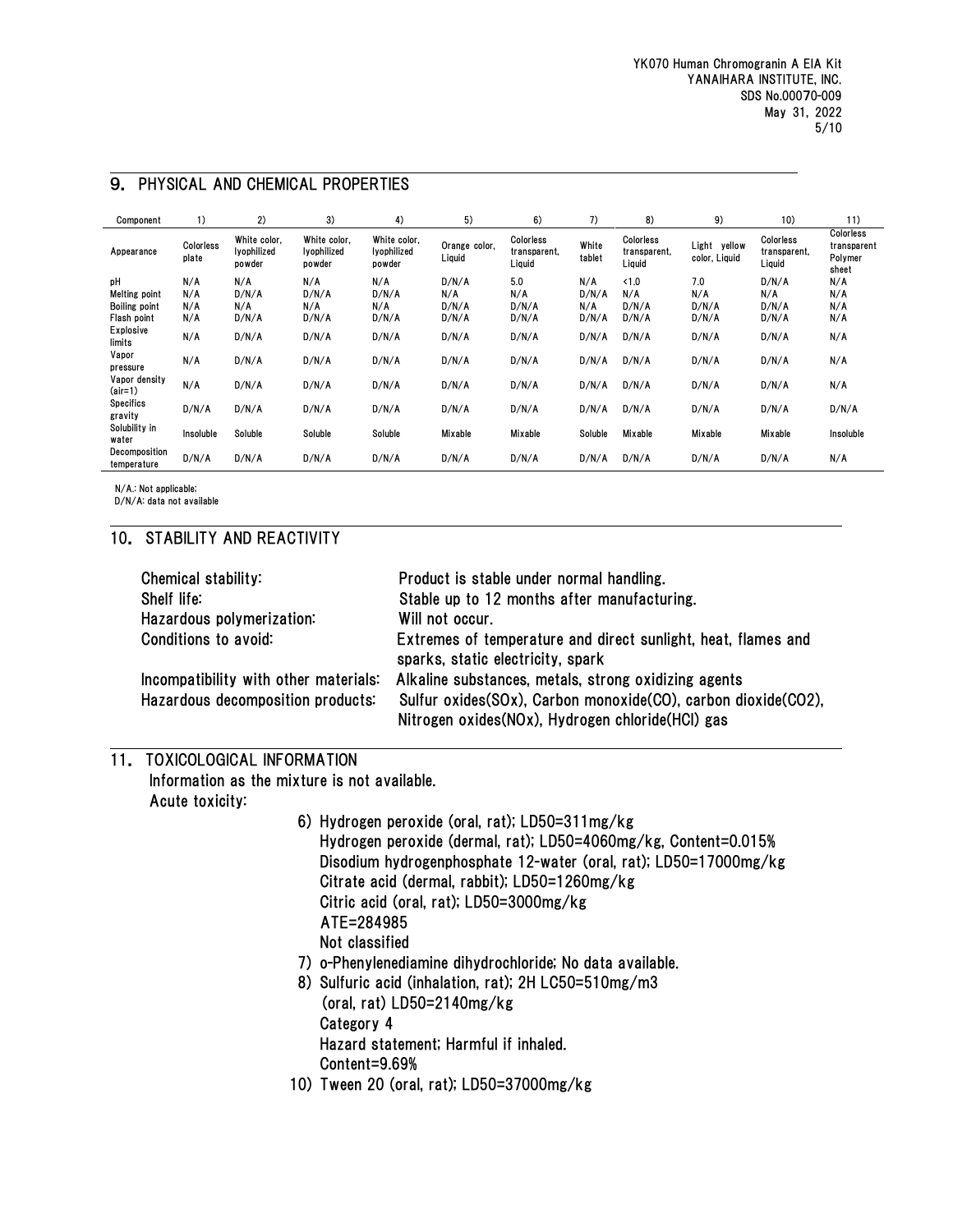| Component                                                         | 1)                       | 2)                                    | 3)                                    | 4)                                    | 5)                             | 6)                                  | 7)                           | 8)                                  | 9)                            | 10)                                 | 11)                                          |
|-------------------------------------------------------------------|--------------------------|---------------------------------------|---------------------------------------|---------------------------------------|--------------------------------|-------------------------------------|------------------------------|-------------------------------------|-------------------------------|-------------------------------------|----------------------------------------------|
| Appearance                                                        | Colorless<br>plate       | White color.<br>lyophilized<br>powder | White color.<br>lyophilized<br>powder | White color,<br>lyophilized<br>powder | Orange color,<br>Liquid        | Colorless<br>transparent,<br>Liquid | White<br>tablet              | Colorless<br>transparent,<br>Liquid | Light yellow<br>color, Liquid | Colorless<br>transparent,<br>Liquid | Colorless<br>transparent<br>Polymer<br>sheet |
| pH<br><b>Melting point</b><br><b>Boiling point</b><br>Flash point | N/A<br>N/A<br>N/A<br>N/A | N/A<br>D/N/A<br>N/A<br>D/N/A          | N/A<br>D/N/A<br>N/A<br>D/N/A          | N/A<br>D/N/A<br>N/A<br>D/N/A          | D/N/A<br>N/A<br>D/N/A<br>D/N/A | 5.0<br>N/A<br>D/N/A<br>D/N/A        | N/A<br>D/N/A<br>N/A<br>D/N/A | < 1.0<br>N/A<br>D/N/A<br>D/N/A      | 7.0<br>N/A<br>D/N/A<br>D/N/A  | D/N/A<br>N/A<br>D/N/A<br>D/N/A      | N/A<br>N/A<br>N/A<br>N/A                     |
| Explosive<br>limits                                               | N/A                      | D/N/A                                 | D/N/A                                 | D/N/A                                 | D/N/A                          | D/N/A                               | D/N/A                        | D/N/A                               | D/N/A                         | D/N/A                               | N/A                                          |
| Vapor<br>pressure                                                 | N/A                      | D/N/A                                 | D/N/A                                 | D/N/A                                 | D/N/A                          | D/N/A                               | D/N/A                        | D/N/A                               | D/N/A                         | D/N/A                               | N/A                                          |
| Vapor density<br>$air=1)$                                         | N/A                      | D/N/A                                 | D/N/A                                 | D/N/A                                 | D/N/A                          | D/N/A                               | D/N/A                        | D/N/A                               | D/N/A                         | D/N/A                               | N/A                                          |
| <b>Specifics</b><br>gravity                                       | D/N/A                    | D/N/A                                 | D/N/A                                 | D/N/A                                 | D/N/A                          | D/N/A                               | D/N/A                        | D/N/A                               | D/N/A                         | D/N/A                               | D/N/A                                        |
| Solubility in<br>water                                            | Insoluble                | Soluble                               | Soluble                               | Soluble                               | Mixable                        | Mixable                             | Soluble                      | Mixable                             | Mixable                       | Mixable                             | Insoluble                                    |
| Decomposition<br>temperature                                      | D/N/A                    | D/N/A                                 | D/N/A                                 | D/N/A                                 | D/N/A                          | D/N/A                               | D/N/A                        | D/N/A                               | D/N/A                         | D/N/A                               | N/A                                          |

# 9. PHYSICAL AND CHEMICAL PROPERTIES

N/A.: Not applicable;

D/N/A: data not available

# 10. STABILITY AND REACTIVITY

| Chemical stability:               | Product is stable under normal handling.                                                                                                                                                                          |
|-----------------------------------|-------------------------------------------------------------------------------------------------------------------------------------------------------------------------------------------------------------------|
| Shelf life:                       | Stable up to 12 months after manufacturing.                                                                                                                                                                       |
| Hazardous polymerization:         | Will not occur.                                                                                                                                                                                                   |
| Conditions to avoid:              | Extremes of temperature and direct sunlight, heat, flames and<br>sparks, static electricity, spark                                                                                                                |
| Hazardous decomposition products: | Incompatibility with other materials: Alkaline substances, metals, strong oxidizing agents<br>Sulfur oxides(SOx), Carbon monoxide(CO), carbon dioxide(CO2),<br>Nitrogen oxides (NOx), Hydrogen chloride (HCl) gas |

# 11. TOXICOLOGICAL INFORMATION

 Information as the mixture is not available. Acute toxicity:

- 6) Hydrogen peroxide (oral, rat); LD50=311mg/kg Hydrogen peroxide (dermal, rat); LD50=4060mg/kg, Content=0.015% Disodium hydrogenphosphate 12-water (oral, rat); LD50=17000mg/kg Citrate acid (dermal, rabbit); LD50=1260mg/kg Citric acid (oral, rat); LD50=3000mg/kg ATE=284985 Not classified
- 7) o-Phenylenediamine dihydrochloride; No data available.
- 8) Sulfuric acid (inhalation, rat); 2H LC50=510mg/m3 (oral, rat) LD50=2140mg/kg Category 4 Hazard statement; Harmful if inhaled. Content=9.69%
- 10) Tween 20 (oral, rat); LD50=37000mg/kg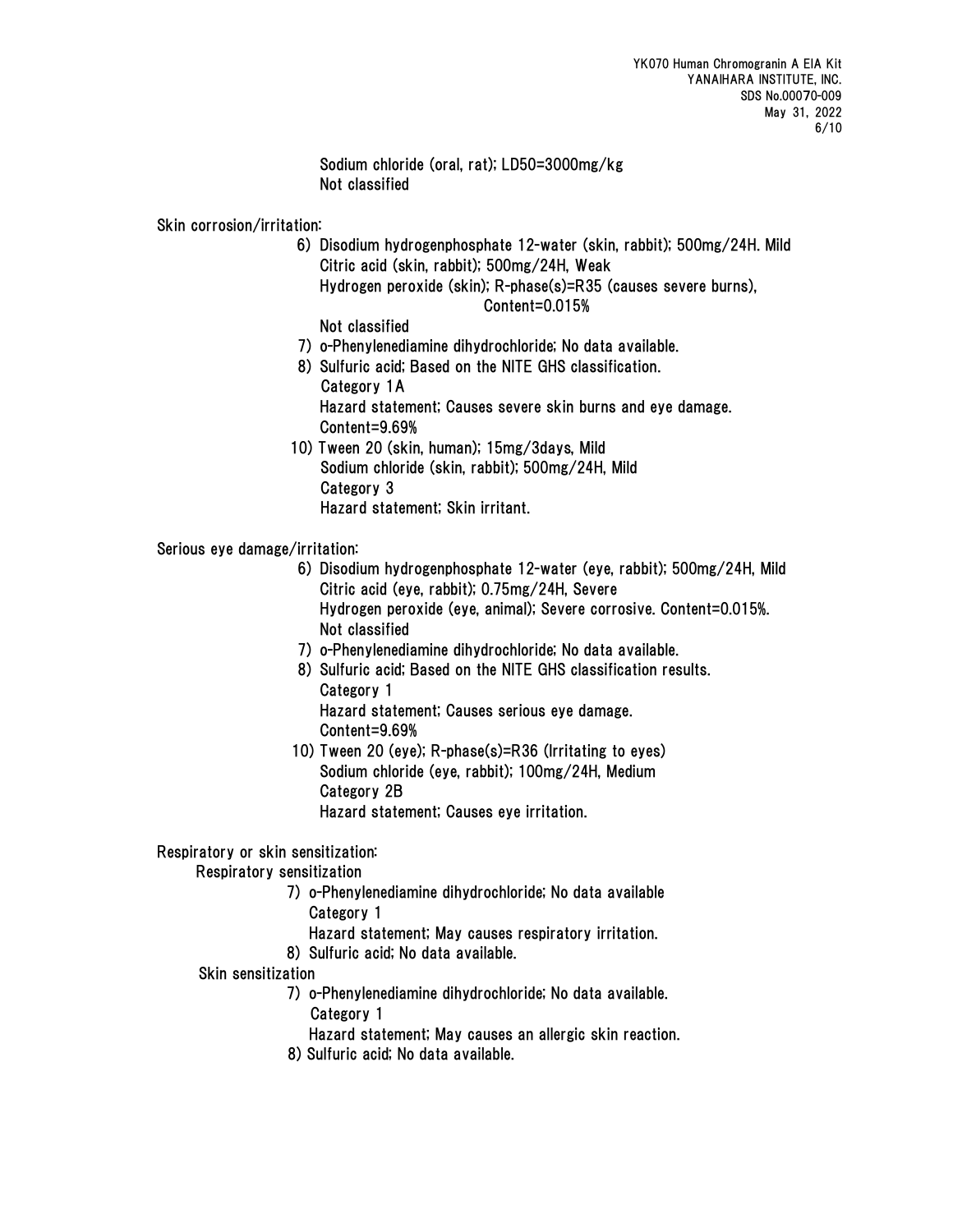Sodium chloride (oral, rat); LD50=3000mg/kg Not classified

Skin corrosion/irritation:

- 6) Disodium hydrogenphosphate 12-water (skin, rabbit); 500mg/24H. Mild Citric acid (skin, rabbit); 500mg/24H, Weak
	- Hydrogen peroxide (skin); R-phase(s)=R35 (causes severe burns), Content=0.015%

Not classified

- 7) o-Phenylenediamine dihydrochloride; No data available.
- 8) Sulfuric acid; Based on the NITE GHS classification. Category 1A Hazard statement; Causes severe skin burns and eye damage. Content=9.69%
- 10) Tween 20 (skin, human); 15mg/3days, Mild Sodium chloride (skin, rabbit); 500mg/24H, Mild Category 3 Hazard statement; Skin irritant.

## Serious eye damage/irritation:

- 6) Disodium hydrogenphosphate 12-water (eye, rabbit); 500mg/24H, Mild Citric acid (eye, rabbit); 0.75mg/24H, Severe Hydrogen peroxide (eye, animal); Severe corrosive. Content=0.015%. Not classified
- 7) o-Phenylenediamine dihydrochloride; No data available.
- 8) Sulfuric acid; Based on the NITE GHS classification results. Category 1 Hazard statement; Causes serious eye damage. Content=9.69%
- 10) Tween 20 (eye); R-phase(s)=R36 (Irritating to eyes) Sodium chloride (eye, rabbit); 100mg/24H, Medium Category 2B

Hazard statement; Causes eye irritation.

#### Respiratory or skin sensitization:

Respiratory sensitization

- 7) o-Phenylenediamine dihydrochloride; No data available Category 1
	- Hazard statement; May causes respiratory irritation.
- 8) Sulfuric acid; No data available.

#### Skin sensitization

- 7) o-Phenylenediamine dihydrochloride; No data available.
	- Category 1
	- Hazard statement; May causes an allergic skin reaction.
- 8) Sulfuric acid; No data available.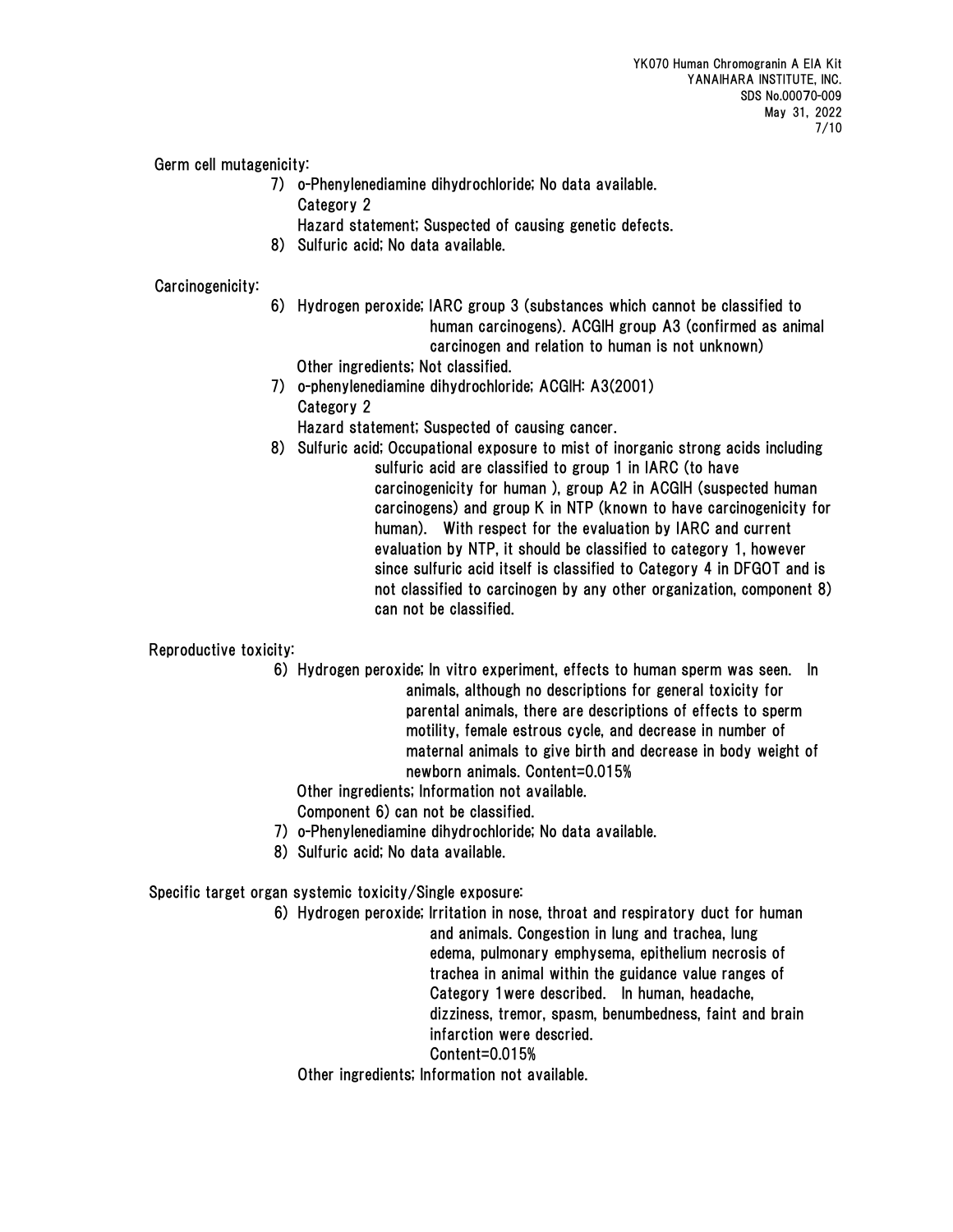Germ cell mutagenicity:

- 7) o-Phenylenediamine dihydrochloride; No data available. Category 2
	- Hazard statement; Suspected of causing genetic defects.
- 8) Sulfuric acid; No data available.

## Carcinogenicity:

- 6) Hydrogen peroxide; IARC group 3 (substances which cannot be classified to human carcinogens). ACGIH group A3 (confirmed as animal carcinogen and relation to human is not unknown) Other ingredients; Not classified.
- 7) o-phenylenediamine dihydrochloride; ACGIH: A3(2001) Category 2
	- Hazard statement; Suspected of causing cancer.
- 8) Sulfuric acid; Occupational exposure to mist of inorganic strong acids including sulfuric acid are classified to group 1 in IARC (to have carcinogenicity for human ), group A2 in ACGIH (suspected human carcinogens) and group K in NTP (known to have carcinogenicity for human). With respect for the evaluation by IARC and current evaluation by NTP, it should be classified to category 1, however since sulfuric acid itself is classified to Category 4 in DFGOT and is not classified to carcinogen by any other organization, component 8) can not be classified.

Reproductive toxicity:

 6) Hydrogen peroxide; In vitro experiment, effects to human sperm was seen. In animals, although no descriptions for general toxicity for parental animals, there are descriptions of effects to sperm motility, female estrous cycle, and decrease in number of maternal animals to give birth and decrease in body weight of newborn animals. Content=0.015%

Other ingredients; Information not available.

Component 6) can not be classified.

- 7) o-Phenylenediamine dihydrochloride; No data available.
- 8) Sulfuric acid; No data available.

Specific target organ systemic toxicity/Single exposure:

 6) Hydrogen peroxide; Irritation in nose, throat and respiratory duct for human and animals. Congestion in lung and trachea, lung edema, pulmonary emphysema, epithelium necrosis of trachea in animal within the guidance value ranges of Category 1were described. In human, headache, dizziness, tremor, spasm, benumbedness, faint and brain infarction were descried. Content=0.015% Other ingredients; Information not available.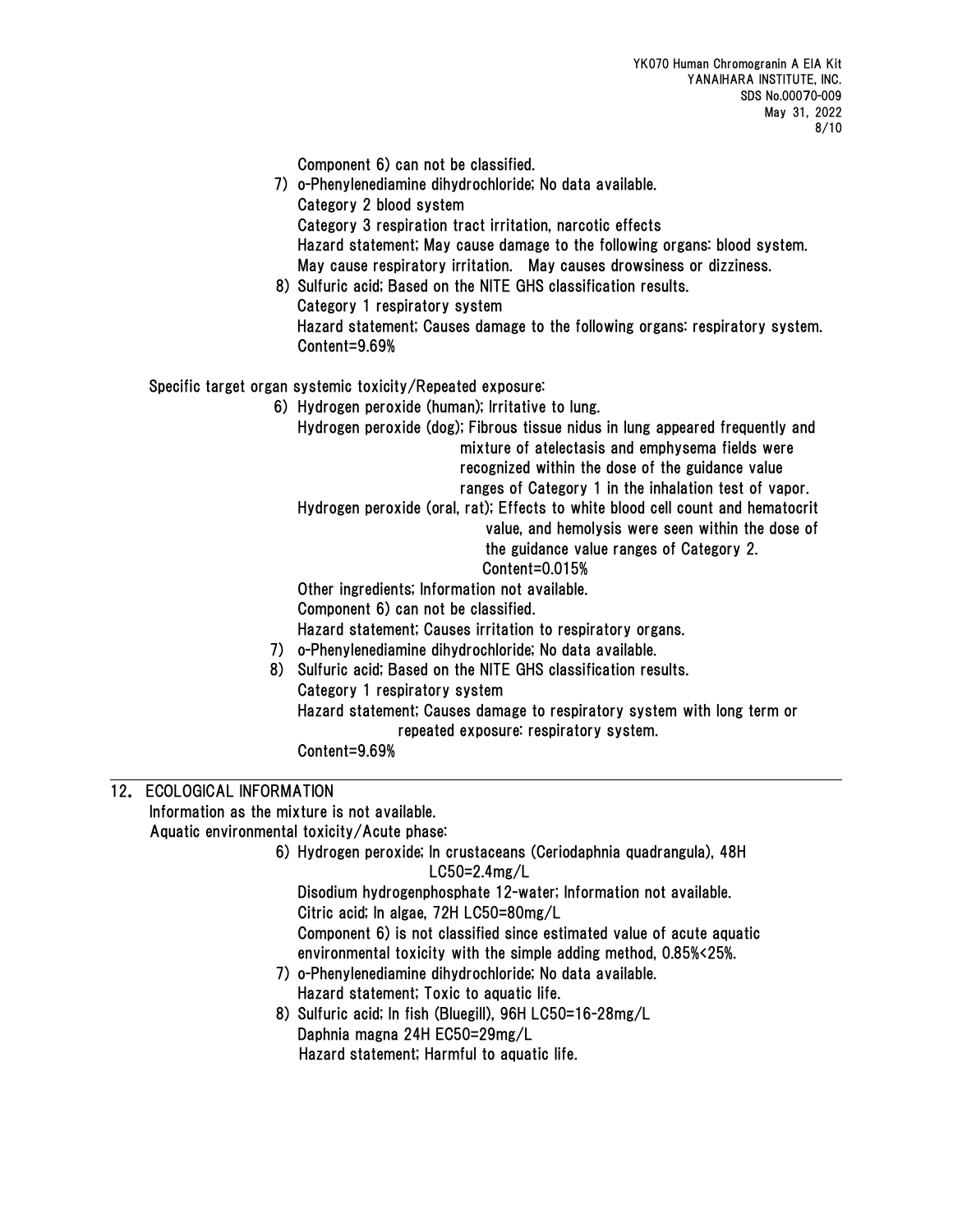Component 6) can not be classified.

7) o-Phenylenediamine dihydrochloride; No data available. Category 2 blood system Category 3 respiration tract irritation, narcotic effects Hazard statement; May cause damage to the following organs: blood system. May cause respiratory irritation. May causes drowsiness or dizziness. 8) Sulfuric acid; Based on the NITE GHS classification results. Category 1 respiratory system Hazard statement; Causes damage to the following organs: respiratory system. Content=9.69% Specific target organ systemic toxicity/Repeated exposure: 6) Hydrogen peroxide (human); Irritative to lung. Hydrogen peroxide (dog); Fibrous tissue nidus in lung appeared frequently and mixture of atelectasis and emphysema fields were recognized within the dose of the guidance value ranges of Category 1 in the inhalation test of vapor. Hydrogen peroxide (oral, rat); Effects to white blood cell count and hematocrit value, and hemolysis were seen within the dose of the guidance value ranges of Category 2. Content=0.015% Other ingredients; Information not available. Component 6) can not be classified. Hazard statement; Causes irritation to respiratory organs. 7) o-Phenylenediamine dihydrochloride; No data available. 8) Sulfuric acid; Based on the NITE GHS classification results.

Category 1 respiratory system

 Hazard statement; Causes damage to respiratory system with long term or repeated exposure: respiratory system.

Content=9.69%

# 12. ECOLOGICAL INFORMATION

Information as the mixture is not available.

Aquatic environmental toxicity/Acute phase:

 6) Hydrogen peroxide; In crustaceans (Ceriodaphnia quadrangula), 48H LC50=2.4mg/L

 Disodium hydrogenphosphate 12-water; Information not available. Citric acid; In algae, 72H LC50=80mg/L Component 6) is not classified since estimated value of acute aquatic environmental toxicity with the simple adding method, 0.85%<25%.

- 7) o-Phenylenediamine dihydrochloride; No data available. Hazard statement; Toxic to aquatic life.
- 8) Sulfuric acid; In fish (Bluegill), 96H LC50=16-28mg/L Daphnia magna 24H EC50=29mg/L

Hazard statement; Harmful to aquatic life.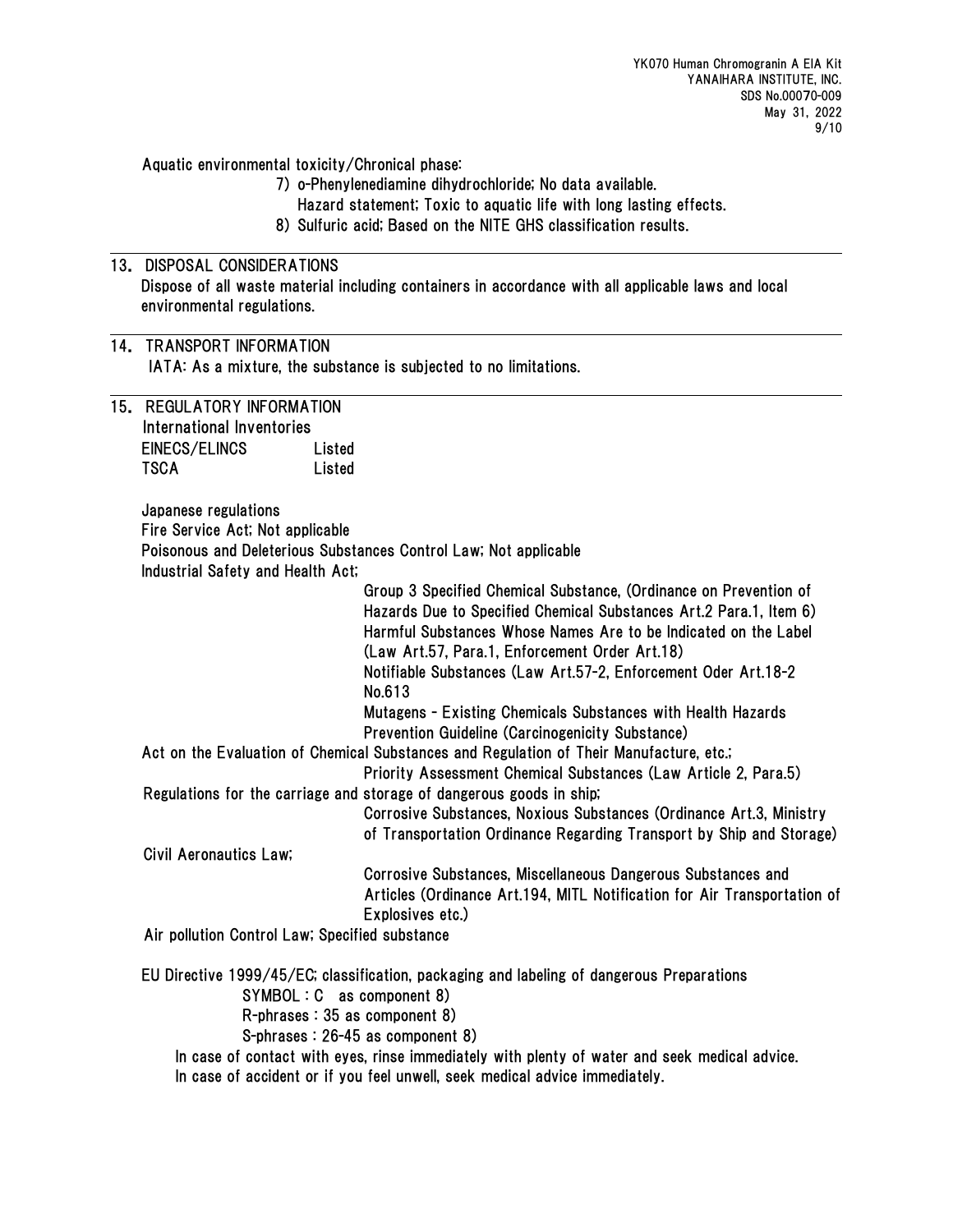Aquatic environmental toxicity/Chronical phase:

- 7) o-Phenylenediamine dihydrochloride; No data available.
- Hazard statement; Toxic to aquatic life with long lasting effects.
- 8) Sulfuric acid; Based on the NITE GHS classification results.

# 13. DISPOSAL CONSIDERATIONS Dispose of all waste material including containers in accordance with all applicable laws and local environmental regulations.

14. TRANSPORT INFORMATION IATA: As a mixture, the substance is subjected to no limitations.

15. REGULATORY INFORMATION International Inventories EINECS/ELINCS Listed TSCA Listed

> Japanese regulations Fire Service Act; Not applicable Poisonous and Deleterious Substances Control Law; Not applicable Industrial Safety and Health Act;

Group 3 Specified Chemical Substance, (Ordinance on Prevention of Hazards Due to Specified Chemical Substances Art.2 Para.1, Item 6) Harmful Substances Whose Names Are to be Indicated on the Label (Law Art.57, Para.1, Enforcement Order Art.18) Notifiable Substances (Law Art.57-2, Enforcement Oder Art.18-2 No.613 Mutagens - Existing Chemicals Substances with Health Hazards Prevention Guideline (Carcinogenicity Substance) Act on the Evaluation of Chemical Substances and Regulation of Their Manufacture, etc.; Priority Assessment Chemical Substances (Law Article 2, Para.5) Regulations for the carriage and storage of dangerous goods in ship; Corrosive Substances, Noxious Substances (Ordinance Art.3, Ministry of Transportation Ordinance Regarding Transport by Ship and Storage) Civil Aeronautics Law; Corrosive Substances, Miscellaneous Dangerous Substances and

Articles (Ordinance Art.194, MITL Notification for Air Transportation of Explosives etc.)

Air pollution Control Law; Specified substance

EU Directive 1999/45/EC; classification, packaging and labeling of dangerous Preparations SYMBOL : C as component 8) R-phrases : 35 as component 8) S-phrases : 26-45 as component 8) In case of contact with eyes, rinse immediately with plenty of water and seek medical advice.

In case of accident or if you feel unwell, seek medical advice immediately.